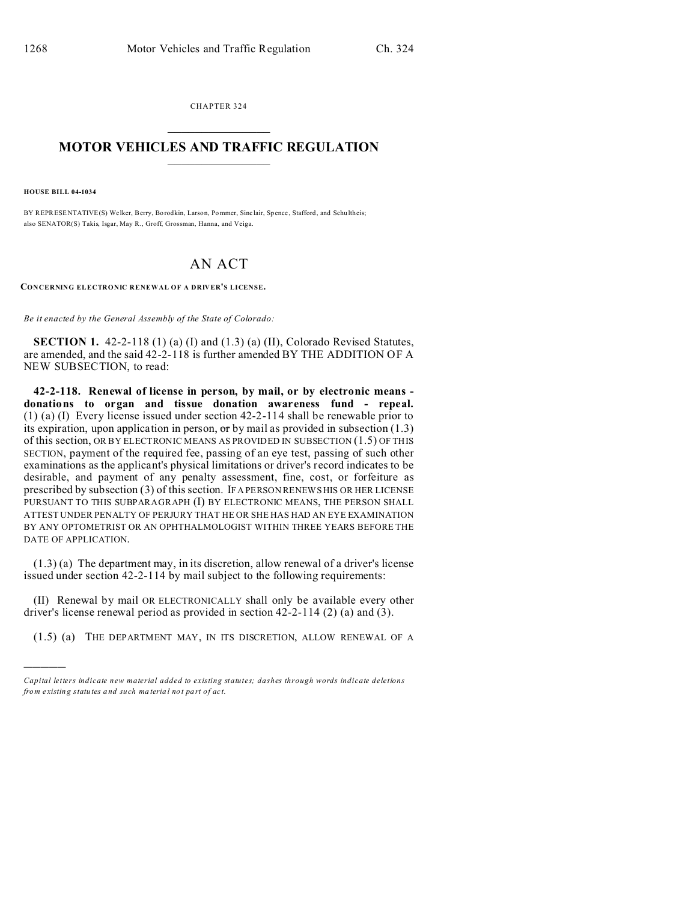CHAPTER 324  $\overline{\phantom{a}}$  , where  $\overline{\phantom{a}}$ 

## **MOTOR VEHICLES AND TRAFFIC REGULATION**  $\frac{1}{2}$  ,  $\frac{1}{2}$  ,  $\frac{1}{2}$  ,  $\frac{1}{2}$  ,  $\frac{1}{2}$  ,  $\frac{1}{2}$  ,  $\frac{1}{2}$

**HOUSE BILL 04-1034**

)))))

BY REPRESENTATIVE(S) Welker, Berry, Bo rodkin, Larson, Pommer, Sinc lair, Spence, Stafford, and Schu ltheis; also SENATOR(S) Takis, Isgar, May R., Groff, Grossman, Hanna, and Veiga.

## AN ACT

**CONCERNING ELECTRONIC RENEWAL OF A DRIVER'S LICENSE.**

*Be it enacted by the General Assembly of the State of Colorado:*

**SECTION 1.** 42-2-118 (1) (a) (I) and (1.3) (a) (II), Colorado Revised Statutes, are amended, and the said 42-2-118 is further amended BY THE ADDITION OF A NEW SUBSECTION, to read:

**42-2-118. Renewal of license in person, by mail, or by electronic means donations to organ and tissue donation awareness fund - repeal.** (1) (a) (I) Every license issued under section 42-2-114 shall be renewable prior to its expiration, upon application in person,  $\sigma r$  by mail as provided in subsection (1.3) of this section, OR BY ELECTRONIC MEANS AS PROVIDED IN SUBSECTION (1.5) OF THIS SECTION, payment of the required fee, passing of an eye test, passing of such other examinations as the applicant's physical limitations or driver's record indicates to be desirable, and payment of any penalty assessment, fine, cost, or forfeiture as prescribed by subsection (3) of this section. IF A PERSON RENEWS HIS OR HER LICENSE PURSUANT TO THIS SUBPARAGRAPH (I) BY ELECTRONIC MEANS, THE PERSON SHALL ATTEST UNDER PENALTY OF PERJURY THAT HE OR SHE HAS HAD AN EYE EXAMINATION BY ANY OPTOMETRIST OR AN OPHTHALMOLOGIST WITHIN THREE YEARS BEFORE THE DATE OF APPLICATION.

(1.3) (a) The department may, in its discretion, allow renewal of a driver's license issued under section 42-2-114 by mail subject to the following requirements:

(II) Renewal by mail OR ELECTRONICALLY shall only be available every other driver's license renewal period as provided in section 42-2-114 (2) (a) and (3).

(1.5) (a) THE DEPARTMENT MAY, IN ITS DISCRETION, ALLOW RENEWAL OF A

*Capital letters indicate new material added to existing statutes; dashes through words indicate deletions from e xistin g statu tes a nd such ma teria l no t pa rt of ac t.*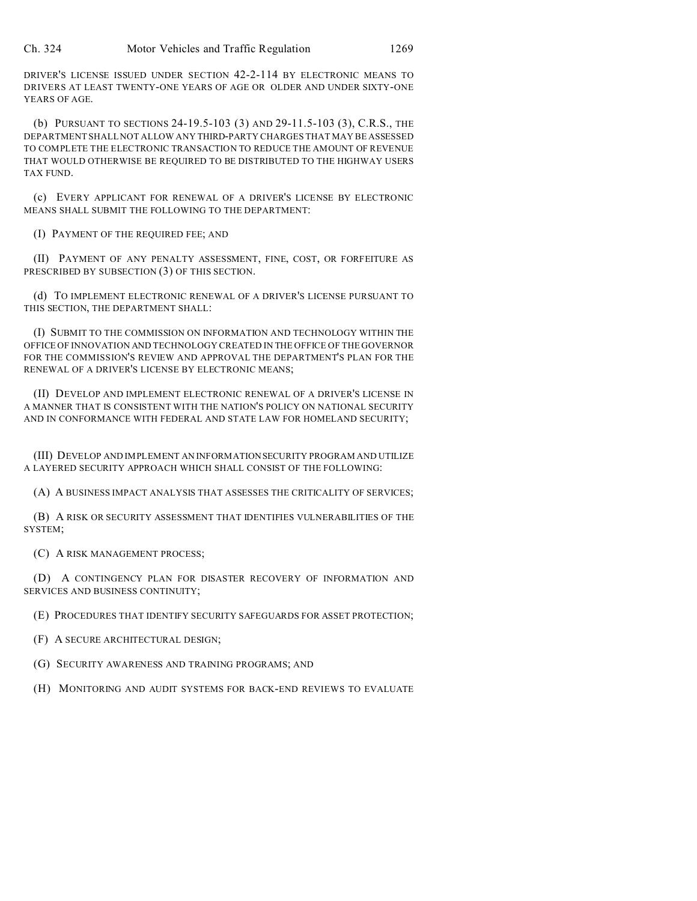DRIVER'S LICENSE ISSUED UNDER SECTION 42-2-114 BY ELECTRONIC MEANS TO DRIVERS AT LEAST TWENTY-ONE YEARS OF AGE OR OLDER AND UNDER SIXTY-ONE YEARS OF AGE.

(b) PURSUANT TO SECTIONS 24-19.5-103 (3) AND 29-11.5-103 (3), C.R.S., THE DEPARTMENT SHALL NOT ALLOW ANY THIRD-PARTY CHARGES THAT MAY BE ASSESSED TO COMPLETE THE ELECTRONIC TRANSACTION TO REDUCE THE AMOUNT OF REVENUE THAT WOULD OTHERWISE BE REQUIRED TO BE DISTRIBUTED TO THE HIGHWAY USERS TAX FUND.

(c) EVERY APPLICANT FOR RENEWAL OF A DRIVER'S LICENSE BY ELECTRONIC MEANS SHALL SUBMIT THE FOLLOWING TO THE DEPARTMENT:

(I) PAYMENT OF THE REQUIRED FEE; AND

(II) PAYMENT OF ANY PENALTY ASSESSMENT, FINE, COST, OR FORFEITURE AS PRESCRIBED BY SUBSECTION (3) OF THIS SECTION.

(d) TO IMPLEMENT ELECTRONIC RENEWAL OF A DRIVER'S LICENSE PURSUANT TO THIS SECTION, THE DEPARTMENT SHALL:

(I) SUBMIT TO THE COMMISSION ON INFORMATION AND TECHNOLOGY WITHIN THE OFFICE OF INNOVATION AND TECHNOLOGY CREATED IN THE OFFICE OF THE GOVERNOR FOR THE COMMISSION'S REVIEW AND APPROVAL THE DEPARTMENT'S PLAN FOR THE RENEWAL OF A DRIVER'S LICENSE BY ELECTRONIC MEANS;

(II) DEVELOP AND IMPLEMENT ELECTRONIC RENEWAL OF A DRIVER'S LICENSE IN A MANNER THAT IS CONSISTENT WITH THE NATION'S POLICY ON NATIONAL SECURITY AND IN CONFORMANCE WITH FEDERAL AND STATE LAW FOR HOMELAND SECURITY;

(III) DEVELOP AND IMPLEMENT AN INFORMATIONSECURITY PROGRAM AND UTILIZE A LAYERED SECURITY APPROACH WHICH SHALL CONSIST OF THE FOLLOWING:

(A) A BUSINESS IMPACT ANALYSIS THAT ASSESSES THE CRITICALITY OF SERVICES;

(B) A RISK OR SECURITY ASSESSMENT THAT IDENTIFIES VULNERABILITIES OF THE SYSTEM;

(C) A RISK MANAGEMENT PROCESS;

(D) A CONTINGENCY PLAN FOR DISASTER RECOVERY OF INFORMATION AND SERVICES AND BUSINESS CONTINUITY;

(E) PROCEDURES THAT IDENTIFY SECURITY SAFEGUARDS FOR ASSET PROTECTION;

(F) A SECURE ARCHITECTURAL DESIGN;

(G) SECURITY AWARENESS AND TRAINING PROGRAMS; AND

(H) MONITORING AND AUDIT SYSTEMS FOR BACK-END REVIEWS TO EVALUATE